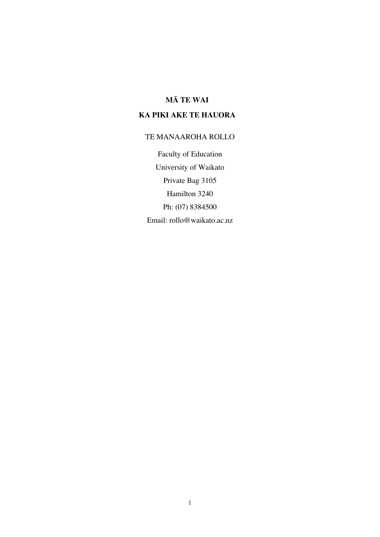# **MĀ TE WAI**

# **KA PIKI AKE TE HAUORA**

# TE MANAAROHA ROLLO

Faculty of Education University of Waikato Private Bag 3105 Hamilton 3240 Ph: (07) 8384500 Email: rollo@waikato.ac.nz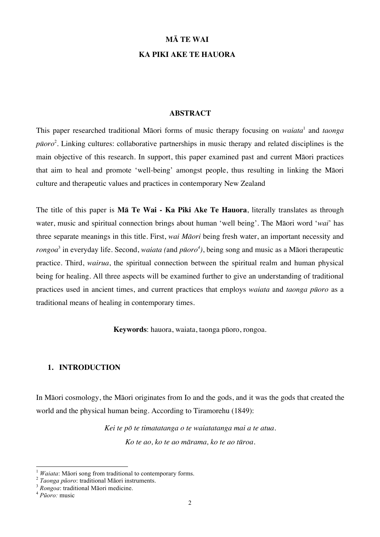### **MĀ TE WAI**

## **KA PIKI AKE TE HAUORA**

#### **ABSTRACT**

This paper researched traditional Māori forms of music therapy focusing on *waiata*<sup>1</sup> and *taonga pūoro*<sup>2</sup> . Linking cultures: collaborative partnerships in music therapy and related disciplines is the main objective of this research. In support, this paper examined past and current Māori practices that aim to heal and promote 'well-being' amongst people, thus resulting in linking the Māori culture and therapeutic values and practices in contemporary New Zealand

The title of this paper is **Mā Te Wai - Ka Piki Ake Te Hauora**, literally translates as through water, music and spiritual connection brings about human 'well being'. The Māori word '*wai*' has three separate meanings in this title. First, *wai Māori* being fresh water, an important necessity and *rongoa*<sup>3</sup> in everyday life. Second, *waiata (*and *pūoro<sup>4</sup> )*, being song and music as a Māori therapeutic practice. Third, *wairua*, the spiritual connection between the spiritual realm and human physical being for healing. All three aspects will be examined further to give an understanding of traditional practices used in ancient times, and current practices that employs *waiata* and *taonga pūoro* as a traditional means of healing in contemporary times.

**Keywords**: hauora, waiata, taonga pūoro, rongoa.

#### **1. INTRODUCTION**

In Māori cosmology, the Māori originates from Io and the gods, and it was the gods that created the world and the physical human being. According to Tiramorehu (1849):

> *Kei te pō te timatatanga o te waiatatanga mai a te atua. Ko te ao, ko te ao mārama, ko te ao tūroa.*

<sup>1</sup> *Waiata*: Māori song from traditional to contemporary forms. <sup>2</sup> *Taonga pūoro*: traditional Māori instruments. <sup>3</sup> *Rongoa*: traditional Māori medicine. <sup>4</sup> *<sup>P</sup>ūoro:* music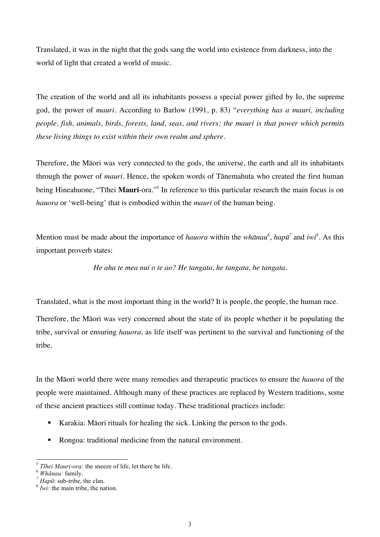Translated, it was in the night that the gods sang the world into existence from darkness, into the world of light that created a world of music.

The creation of the world and all its inhabitants possess a special power gifted by Io, the supreme god, the power of *mauri.* According to Barlow (1991, p. 83) "*everything has a mauri, including people, fish, animals, birds, forests, land, seas, and rivers; the mauri is that power which permits these living things to exist within their own realm and sphere.*

Therefore, the Māori was very connected to the gods, the universe, the earth and all its inhabitants through the power of *mauri.* Hence, the spoken words of Tānemahuta who created the first human being Hineahuone, "Tīhei **Mauri**-ora."<sup>5</sup> In reference to this particular research the main focus is on *hauora* or 'well-being' that is embodied within the *mauri* of the human being.

Mention must be made about the importance of *hauora* within the *whānau*<sup>6</sup>, *hapū*<sup>7</sup> and *iwi*<sup>8</sup>. As this important proverb states:

*He aha te mea nui o te ao? He tangata, he tangata, he tangata.*

Translated, what is the most important thing in the world? It is people, the people, the human race.

Therefore, the Māori was very concerned about the state of its people whether it be populating the tribe, survival or ensuring *hauora,* as life itself was pertinent to the survival and functioning of the tribe.

In the Māori world there were many remedies and therapeutic practices to ensure the *hauora* of the people were maintained. Although many of these practices are replaced by Western traditions, some of these ancient practices still continue today. These traditional practices include:

- ! Karakia: Māori rituals for healing the sick. Linking the person to the gods.
- Rongoa: traditional medicine from the natural environment.

<sup>5</sup> *<sup>T</sup>īhei Mauri-ora:* the sneeze of life, let there be life. <sup>6</sup> *Whānau:* family. *<sup>7</sup> Hapū*: sub-tribe, the clan. <sup>8</sup> *Iwi:* the main tribe, the nation.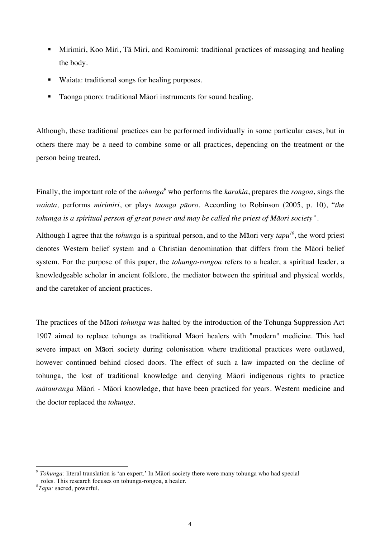- ! Mirimiri, Koo Miri, Tā Miri, and Romiromi: traditional practices of massaging and healing the body.
- ! Waiata: traditional songs for healing purposes.
- ! Taonga pūoro: traditional Māori instruments for sound healing.

Although, these traditional practices can be performed individually in some particular cases, but in others there may be a need to combine some or all practices, depending on the treatment or the person being treated.

Finally, the important role of the *tohunga*<sup>9</sup> who performs the *karakia*, prepares the *rongoa*, sings the *waiata,* performs *mirimiri*, or plays *taonga pūoro*. According to Robinson (2005, p. 10), "*the tohunga is a spiritual person of great power and may be called the priest of Māori society".*

Although I agree that the *tohunga* is a spiritual person, and to the Māori very *tapu<sup>10</sup>*, the word priest denotes Western belief system and a Christian denomination that differs from the Māori belief system. For the purpose of this paper, the *tohunga-rongoa* refers to a healer, a spiritual leader, a knowledgeable scholar in ancient folklore, the mediator between the spiritual and physical worlds, and the caretaker of ancient practices.

The practices of the Māori *tohunga* was halted by the introduction of the Tohunga Suppression Act 1907 aimed to replace tohunga as traditional Māori healers with "modern" medicine. This had severe impact on Māori society during colonisation where traditional practices were outlawed, however continued behind closed doors. The effect of such a law impacted on the decline of tohunga, the lost of traditional knowledge and denying Māori indigenous rights to practice *mātauranga* Māori - Māori knowledge, that have been practiced for years. Western medicine and the doctor replaced the *tohunga*.

 <sup>9</sup> *Tohunga:* literal translation is 'an expert.' In Māori society there were many tohunga who had special roles. This research focuses on tohunga-rongoa, a healer.

*Tapu:* sacred, powerful.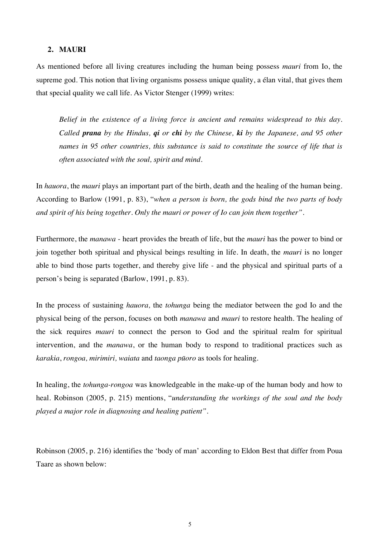#### **2. MAURI**

As mentioned before all living creatures including the human being possess *mauri* from Io, the supreme god. This notion that living organisms possess unique quality, a élan vital, that gives them that special quality we call life. As Victor Stenger (1999) writes:

*Belief in the existence of a living force is ancient and remains widespread to this day. Called prana by the Hindus, qi or chi by the Chinese, ki by the Japanese, and 95 other names in 95 other countries, this substance is said to constitute the source of life that is often associated with the soul, spirit and mind.*

In *hauora*, the *mauri* plays an important part of the birth, death and the healing of the human being. According to Barlow (1991, p. 83), "*when a person is born, the gods bind the two parts of body and spirit of his being together. Only the mauri or power of Io can join them together".*

Furthermore, the *manawa* - heart provides the breath of life, but the *mauri* has the power to bind or join together both spiritual and physical beings resulting in life. In death, the *mauri* is no longer able to bind those parts together, and thereby give life - and the physical and spiritual parts of a person's being is separated (Barlow, 1991, p. 83).

In the process of sustaining *hauora,* the *tohunga* being the mediator between the god Io and the physical being of the person, focuses on both *manawa* and *mauri* to restore health. The healing of the sick requires *mauri* to connect the person to God and the spiritual realm for spiritual intervention, and the *manawa*, or the human body to respond to traditional practices such as *karakia*, *rongoa, mirimiri, waiata* and *taonga pūoro* as tools for healing.

In healing, the *tohunga-rongoa* was knowledgeable in the make-up of the human body and how to heal. Robinson (2005, p. 215) mentions, "*understanding the workings of the soul and the body played a major role in diagnosing and healing patient".*

Robinson (2005, p. 216) identifies the 'body of man' according to Eldon Best that differ from Poua Taare as shown below: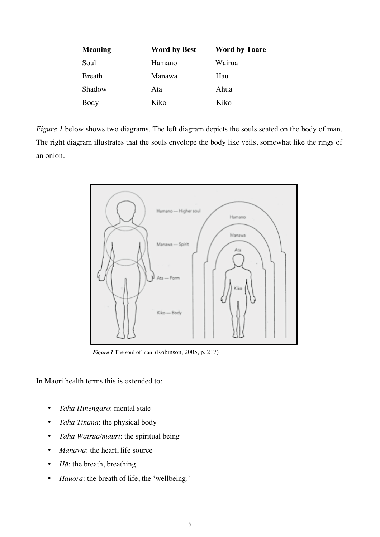| Meaning | <b>Word by Best</b> | <b>Word by Taare</b> |
|---------|---------------------|----------------------|
| Soul    | Hamano              | Wairua               |
| Breath  | Manawa              | Hau                  |
| Shadow  | Ata                 | Ahua                 |
| Body    | Kiko                | Kiko                 |

*Figure 1* below shows two diagrams. The left diagram depicts the souls seated on the body of man. The right diagram illustrates that the souls envelope the body like veils, somewhat like the rings of an onion.



*Figure 1* The soul of man(Robinson, 2005, p. 217)

In Māori health terms this is extended to:

- *Taha Hinengaro*: mental state
- *Taha Tinana*: the physical body
- *Taha Wairua/mauri*: the spiritual being
- *Manawa*: the heart, life source
- *H* $\bar{a}$ : the breath, breathing
- *Hauora*: the breath of life, the 'wellbeing.'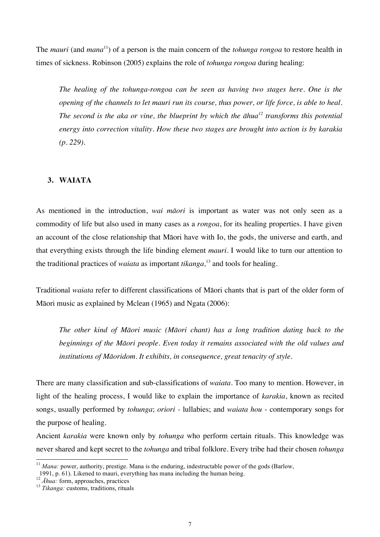The *mauri* (and *mana*11) of a person is the main concern of the *tohunga rongoa* to restore health in times of sickness. Robinson (2005) explains the role of *tohunga rongoa* during healing:

*The healing of the tohunga-rongoa can be seen as having two stages here. One is the opening of the channels to let mauri run its course, thus power, or life force, is able to heal. The second is the aka or vine, the blueprint by which the āhua<sup>12</sup> transforms this potential energy into correction vitality. How these two stages are brought into action is by karakia (p. 229).*

# **3. WAIATA**

As mentioned in the introduction, *wai māori* is important as water was not only seen as a commodity of life but also used in many cases as a *rongoa*, for its healing properties. I have given an account of the close relationship that Māori have with Io, the gods, the universe and earth, and that everything exists through the life binding element *mauri.* I would like to turn our attention to the traditional practices of *waiata* as important *tikanga,* <sup>13</sup> and tools for healing.

Traditional *waiata* refer to different classifications of Māori chants that is part of the older form of Māori music as explained by Mclean (1965) and Ngata (2006):

*The other kind of Māori music (Māori chant) has a long tradition dating back to the beginnings of the Māori people. Even today it remains associated with the old values and institutions of Māoridom. It exhibits, in consequence, great tenacity of style.*

There are many classification and sub-classifications of *waiata*. Too many to mention. However, in light of the healing process, I would like to explain the importance of *karakia*, known as recited songs, usually performed by *tohunga*; *oriori -* lullabies; and *waiata hou* - contemporary songs for the purpose of healing.

Ancient *karakia* were known only by *tohunga* who perform certain rituals. This knowledge was never shared and kept secret to the *tohunga* and tribal folklore. Every tribe had their chosen *tohunga*

<sup>&</sup>lt;sup>11</sup> *Mana:* power, authority, prestige. Mana is the enduring, indestructable power of the gods (Barlow,

 <sup>1991,</sup> p. 61). Likened to mauri, everything has mana including the human being. <sup>12</sup> *<sup>Ā</sup>hua:* form, approaches, practices <sup>13</sup> *Tikanga:* customs, traditions, rituals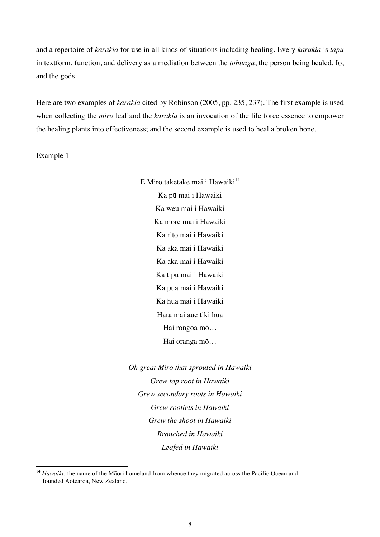and a repertoire of *karakia* for use in all kinds of situations including healing. Every *karakia* is *tapu* in textform, function, and delivery as a mediation between the *tohunga*, the person being healed, Io, and the gods.

Here are two examples of *karakia* cited by Robinson (2005, pp. 235, 237). The first example is used when collecting the *miro* leaf and the *karakia* is an invocation of the life force essence to empower the healing plants into effectiveness; and the second example is used to heal a broken bone.

Example 1

E Miro taketake mai i Hawaiki $14$ Ka pū mai i Hawaiki Ka weu mai i Hawaiki Ka more mai i Hawaiki Ka rito mai i Hawaiki Ka aka mai i Hawaiki Ka aka mai i Hawaiki Ka tipu mai i Hawaiki Ka pua mai i Hawaiki Ka hua mai i Hawaiki Hara mai aue tiki hua Hai rongoa mō… Hai oranga mō…

*Oh great Miro that sprouted in Hawaiki Grew tap root in Hawaiki Grew secondary roots in Hawaiki Grew rootlets in Hawaiki Grew the shoot in Hawaiki Branched in Hawaiki Leafed in Hawaiki*

<sup>&</sup>lt;sup>14</sup> Hawaiki: the name of the Māori homeland from whence they migrated across the Pacific Ocean and founded Aotearoa, New Zealand.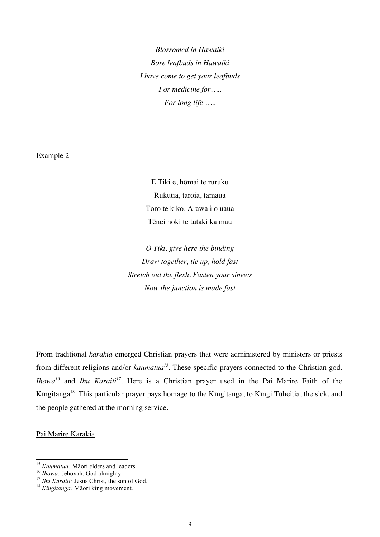*Blossomed in Hawaiki Bore leafbuds in Hawaiki I have come to get your leafbuds For medicine for….. For long life …..*

#### Example 2

E Tiki e, hōmai te ruruku Rukutia, taroia, tamaua Toro te kiko. Arawa i o uaua Tēnei hoki te tutaki ka mau

*O Tiki, give here the binding Draw together, tie up, hold fast Stretch out the flesh. Fasten your sinews Now the junction is made fast*

From traditional *karakia* emerged Christian prayers that were administered by ministers or priests from different religions and/or *kaumatua<sup>15</sup>*. These specific prayers connected to the Christian god, *Ihowa<sup>16</sup>* and *Ihu Karaiti<sup>17</sup>*. Here is a Christian prayer used in the Pai Mārire Faith of the Kīngitanga18. This particular prayer pays homage to the Kīngitanga, to Kīngi Tūheitia, the sick, and the people gathered at the morning service.

## Pai Mārire Karakia

<sup>&</sup>lt;sup>15</sup> *Kaumatua:* Māori elders and leaders.<br><sup>16</sup> *Ihowa:* Jehovah, God almighty<br><sup>17</sup> *Ihu Karaiti:* Jesus Christ, the son of God.<br><sup>18</sup> *Kīngitanga:* Māori king movement.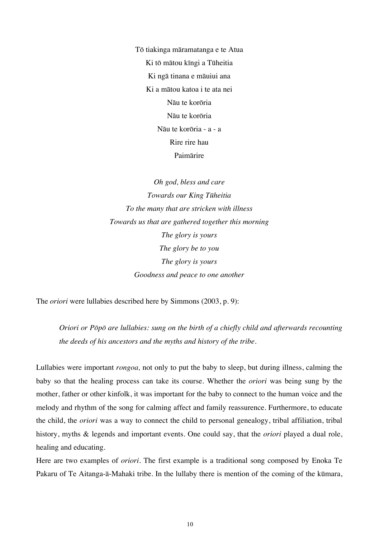Tō tiakinga māramatanga e te Atua Ki tō mātou kīngi a Tūheitia Ki ngā tinana e māuiui ana Ki a mātou katoa i te ata nei Nāu te korōria Nāu te korōria Nāu te korōria - a - a Rire rire hau Paimārire

*Oh god, bless and care Towards our King Tūheitia To the many that are stricken with illness Towards us that are gathered together this morning The glory is yours The glory be to you The glory is yours Goodness and peace to one another*

The *oriori* were lullabies described here by Simmons (2003, p. 9):

*Oriori or Pōpō are lullabies: sung on the birth of a chiefly child and afterwards recounting the deeds of his ancestors and the myths and history of the tribe.* 

Lullabies were important *rongoa,* not only to put the baby to sleep, but during illness, calming the baby so that the healing process can take its course. Whether the *oriori* was being sung by the mother, father or other kinfolk, it was important for the baby to connect to the human voice and the melody and rhythm of the song for calming affect and family reassurence. Furthermore, to educate the child, the *oriori* was a way to connect the child to personal genealogy, tribal affiliation, tribal history, myths & legends and important events. One could say, that the *oriori* played a dual role, healing and educating.

Here are two examples of *oriori*. The first example is a traditional song composed by Enoka Te Pakaru of Te Aitanga-ā-Mahaki tribe. In the lullaby there is mention of the coming of the kūmara,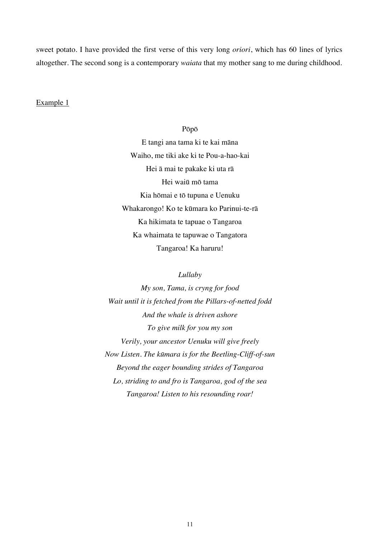sweet potato. I have provided the first verse of this very long *oriori*, which has 60 lines of lyrics altogether. The second song is a contemporary *waiata* that my mother sang to me during childhood.

## Example 1

## Pōpō

E tangi ana tama ki te kai māna Waiho, me tiki ake ki te Pou-a-hao-kai Hei ā mai te pakake ki uta rā Hei waiū mō tama Kia hōmai e tō tupuna e Uenuku Whakarongo! Ko te kūmara ko Parinui-te-rā Ka hikimata te tapuae o Tangaroa Ka whaimata te tapuwae o Tangatora Tangaroa! Ka haruru!

#### *Lullaby*

*My son, Tama, is cryng for food Wait until it is fetched from the Pillars-of-netted fodd And the whale is driven ashore To give milk for you my son Verily, your ancestor Uenuku will give freely Now Listen. The kūmara is for the Beetling-Cliff-of-sun Beyond the eager bounding strides of Tangaroa Lo, striding to and fro is Tangaroa, god of the sea Tangaroa! Listen to his resounding roar!*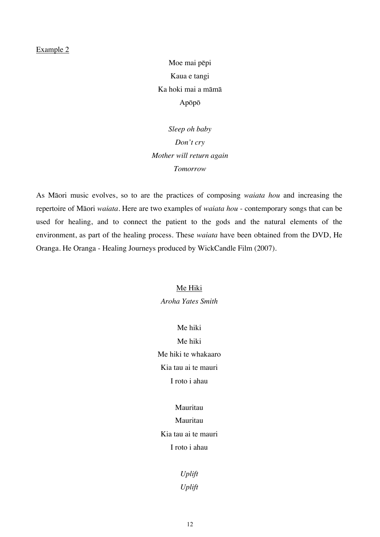#### Example 2

Moe mai pēpi Kaua e tangi Ka hoki mai a māmā Apōpō

*Sleep oh baby Don't cry Mother will return again Tomorrow*

As Māori music evolves, so to are the practices of composing *waiata hou* and increasing the repertoire of Māori *waiata*. Here are two examples of *waiata hou* - contemporary songs that can be used for healing, and to connect the patient to the gods and the natural elements of the environment, as part of the healing process. These *waiata* have been obtained from the DVD, He Oranga. He Oranga - Healing Journeys produced by WickCandle Film (2007).

# Me Hiki *Aroha Yates Smith*

Me hiki Me hiki Me hiki te whakaaro Kia tau ai te mauri I roto i ahau

# Mauritau Mauritau Kia tau ai te mauri

I roto i ahau

*Uplift Uplift*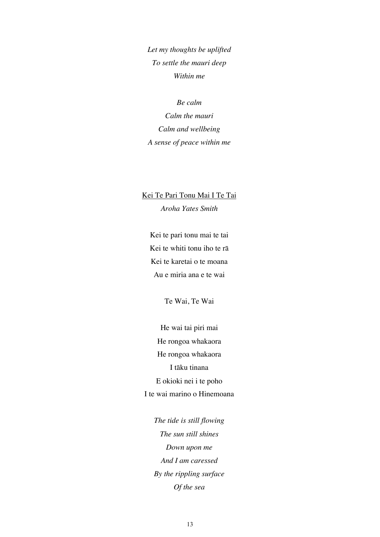*Let my thoughts be uplifted To settle the mauri deep Within me*

*Be calm Calm the mauri Calm and wellbeing A sense of peace within me*

Kei Te Pari Tonu Mai I Te Tai *Aroha Yates Smith*

Kei te pari tonu mai te tai Kei te whiti tonu iho te rā Kei te karetai o te moana Au e miria ana e te wai

Te Wai, Te Wai

He wai tai piri mai He rongoa whakaora He rongoa whakaora I tāku tinana E okioki nei i te poho I te wai marino o Hinemoana

*The tide is still flowing The sun still shines Down upon me And I am caressed By the rippling surface Of the sea*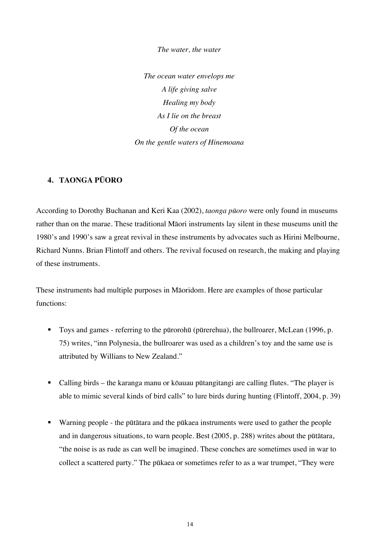*The water, the water*

*The ocean water envelops me A life giving salve Healing my body As I lie on the breast Of the ocean On the gentle waters of Hinemoana*

# **4. TAONGA PŪORO**

According to Dorothy Buchanan and Keri Kaa (2002), *taonga pūoro* were only found in museums rather than on the marae. These traditional Māori instruments lay silent in these museums unitl the 1980's and 1990's saw a great revival in these instruments by advocates such as Hirini Melbourne, Richard Nunns. Brian Flintoff and others. The revival focused on research, the making and playing of these instruments.

These instruments had multiple purposes in Māoridom. Here are examples of those particular functions:

- ! Toys and games referring to the pūrorohū (pūrerehua), the bullroarer, McLean (1996, p. 75) writes, "inn Polynesia, the bullroarer was used as a children's toy and the same use is attributed by Willians to New Zealand."
- ! Calling birds the karanga manu or kōauau pūtangitangi are calling flutes. "The player is able to mimic several kinds of bird calls" to lure birds during hunting (Flintoff, 2004, p. 39)
- ! Warning people the pūtātara and the pūkaea instruments were used to gather the people and in dangerous situations, to warn people. Best (2005, p. 288) writes about the pūtātara, "the noise is as rude as can well be imagined. These conches are sometimes used in war to collect a scattered party." The pūkaea or sometimes refer to as a war trumpet, "They were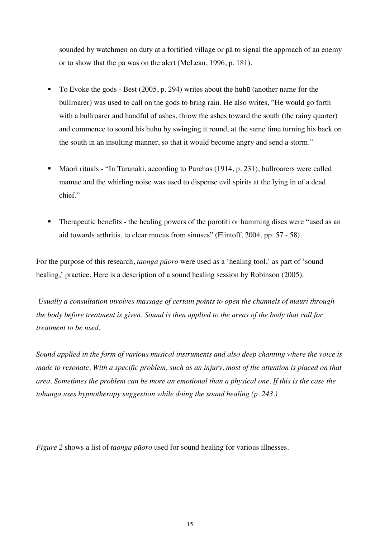sounded by watchmen on duty at a fortified village or pā to signal the approach of an enemy or to show that the pā was on the alert (McLean, 1996, p. 181).

- ! To Evoke the gods Best (2005, p. 294) writes about the huhū (another name for the bullroarer) was used to call on the gods to bring rain. He also writes, "He would go forth with a bullroarer and handful of ashes, throw the ashes toward the south (the rainy quarter) and commence to sound his huhu by swinging it round, at the same time turning his back on the south in an insulting manner, so that it would become angry and send a storm."
- ! Māori rituals "In Taranaki, according to Purchas (1914, p. 231), bullroarers were called mamae and the whirling noise was used to dispense evil spirits at the lying in of a dead chief."
- ! Therapeutic benefits the healing powers of the porotiti or humming discs were "used as an aid towards arthritis, to clear mucus from sinuses" (Flintoff, 2004, pp. 57 - 58).

For the purpose of this research, *taonga pūoro* were used as a 'healing tool,' as part of 'sound healing,' practice. Here is a description of a sound healing session by Robinson (2005):

*Usually a consultation involves massage of certain points to open the channels of mauri through the body before treatment is given. Sound is then applied to the areas of the body that call for treatment to be used.*

*Sound applied in the form of various musical instruments and also deep chanting where the voice is made to resonate. With a specific problem, such as an injury, most of the attention is placed on that area. Sometimes the problem can be more an emotional than a physical one. If this is the case the tohunga uses hypnotherapy suggestion while doing the sound healing (p. 243.)*

*Figure 2* shows a list of *taonga pūoro* used for sound healing for various illnesses.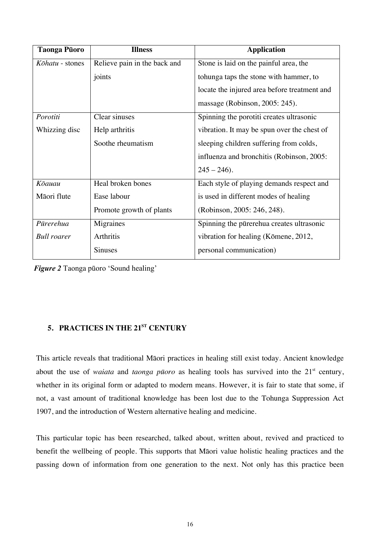| <b>Taonga Pūoro</b>    | <b>Illness</b>               | <b>Application</b>                           |
|------------------------|------------------------------|----------------------------------------------|
| <i>Kōhatu</i> - stones | Relieve pain in the back and | Stone is laid on the painful area, the       |
|                        | joints                       | tohunga taps the stone with hammer, to       |
|                        |                              | locate the injured area before treatment and |
|                        |                              | massage (Robinson, 2005: 245).               |
| Porotiti               | Clear sinuses                | Spinning the porotiti creates ultrasonic     |
| Whizzing disc          | Help arthritis               | vibration. It may be spun over the chest of  |
|                        | Soothe rheumatism            | sleeping children suffering from colds,      |
|                        |                              | influenza and bronchitis (Robinson, 2005:    |
|                        |                              | $245 - 246$ .                                |
| Kōauau                 | Heal broken bones            | Each style of playing demands respect and    |
| Māori flute            | Ease labour                  | is used in different modes of healing        |
|                        | Promote growth of plants     | (Robinson, 2005: 246, 248).                  |
| Pūrerehua              | Migraines                    | Spinning the pūrerehua creates ultrasonic    |
| <b>Bull roarer</b>     | Arthritis                    | vibration for healing (Kōmene, 2012,         |
|                        | <b>Sinuses</b>               | personal communication)                      |

*Figure 2* Taonga pūoro 'Sound healing'

# **5. PRACTICES IN THE 21ST CENTURY**

This article reveals that traditional Māori practices in healing still exist today. Ancient knowledge about the use of *waiata* and *taonga pūoro* as healing tools has survived into the 21<sup>st</sup> century, whether in its original form or adapted to modern means. However, it is fair to state that some, if not, a vast amount of traditional knowledge has been lost due to the Tohunga Suppression Act 1907, and the introduction of Western alternative healing and medicine.

This particular topic has been researched, talked about, written about, revived and practiced to benefit the wellbeing of people. This supports that Māori value holistic healing practices and the passing down of information from one generation to the next. Not only has this practice been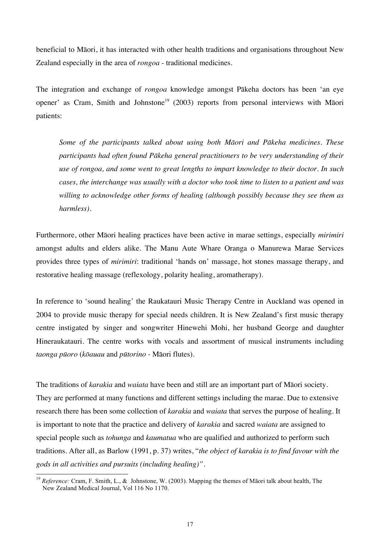beneficial to Māori, it has interacted with other health traditions and organisations throughout New Zealand especially in the area of *rongoa* - traditional medicines.

The integration and exchange of *rongoa* knowledge amongst Pākeha doctors has been 'an eye opener' as Cram, Smith and Johnstone<sup>19</sup> (2003) reports from personal interviews with Māori patients:

*Some of the participants talked about using both Māori and Pākeha medicines. These participants had often found Pākeha general practitioners to be very understanding of their use of rongoa, and some went to great lengths to impart knowledge to their doctor. In such cases, the interchange was usually with a doctor who took time to listen to a patient and was willing to acknowledge other forms of healing (although possibly because they see them as harmless).*

Furthermore, other Māori healing practices have been active in marae settings, especially *mirimiri* amongst adults and elders alike. The Manu Aute Whare Oranga o Manurewa Marae Services provides three types of *mirimiri*: traditional 'hands on' massage, hot stones massage therapy, and restorative healing massage (reflexology, polarity healing, aromatherapy).

In reference to 'sound healing' the Raukatauri Music Therapy Centre in Auckland was opened in 2004 to provide music therapy for special needs children. It is New Zealand's first music therapy centre instigated by singer and songwriter Hinewehi Mohi, her husband George and daughter Hineraukatauri. The centre works with vocals and assortment of musical instruments including *taonga pūoro* (*kōauau* and *pūtorino* - Māori flutes).

The traditions of *karakia* and *waiata* have been and still are an important part of Māori society. They are performed at many functions and different settings including the marae. Due to extensive research there has been some collection of *karakia* and *waiata* that serves the purpose of healing. It is important to note that the practice and delivery of *karakia* and sacred *waiata* are assigned to special people such as *tohunga* and *kaumatua* who are qualified and authorized to perform such traditions. After all, as Barlow (1991, p. 37) writes, "*the object of karakia is to find favour with the gods in all activities and pursuits (including healing)".*

 <sup>19</sup> *Reference:* Cram, F. Smith, L., & Johnstone, W. (2003). Mapping the themes of Māori talk about health, The New Zealand Medical Journal, Vol 116 No 1170.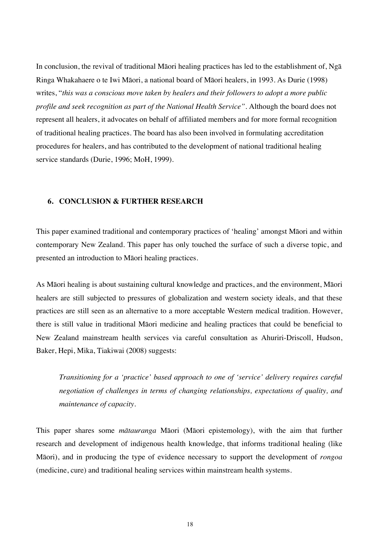In conclusion, the revival of traditional Māori healing practices has led to the establishment of, Ngā Ringa Whakahaere o te Iwi Māori, a national board of Māori healers, in 1993. As Durie (1998) writes, "*this was a conscious move taken by healers and their followers to adopt a more public profile and seek recognition as part of the National Health Service".* Although the board does not represent all healers, it advocates on behalf of affiliated members and for more formal recognition of traditional healing practices. The board has also been involved in formulating accreditation procedures for healers, and has contributed to the development of national traditional healing service standards (Durie, 1996; MoH, 1999).

## **6. CONCLUSION & FURTHER RESEARCH**

This paper examined traditional and contemporary practices of 'healing' amongst Māori and within contemporary New Zealand. This paper has only touched the surface of such a diverse topic, and presented an introduction to Māori healing practices.

As Māori healing is about sustaining cultural knowledge and practices, and the environment, Māori healers are still subjected to pressures of globalization and western society ideals, and that these practices are still seen as an alternative to a more acceptable Western medical tradition. However, there is still value in traditional Māori medicine and healing practices that could be beneficial to New Zealand mainstream health services via careful consultation as Ahuriri-Driscoll, Hudson, Baker, Hepi, Mika, Tiakiwai (2008) suggests:

*Transitioning for a 'practice' based approach to one of 'service' delivery requires careful negotiation of challenges in terms of changing relationships, expectations of quality, and maintenance of capacity.*

This paper shares some *mātauranga* Māori (Māori epistemology), with the aim that further research and development of indigenous health knowledge, that informs traditional healing (like Māori), and in producing the type of evidence necessary to support the development of *rongoa* (medicine, cure) and traditional healing services within mainstream health systems.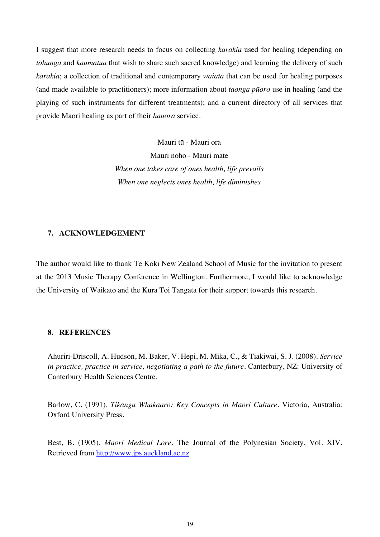I suggest that more research needs to focus on collecting *karakia* used for healing (depending on *tohunga* and *kaumatua* that wish to share such sacred knowledge) and learning the delivery of such *karakia*; a collection of traditional and contemporary *waiata* that can be used for healing purposes (and made available to practitioners); more information about *taonga pūoro* use in healing (and the playing of such instruments for different treatments); and a current directory of all services that provide Māori healing as part of their *hauora* service.

> Mauri tū - Mauri ora Mauri noho - Mauri mate *When one takes care of ones health, life prevails When one neglects ones health, life diminishes*

#### **7. ACKNOWLEDGEMENT**

The author would like to thank Te Kōkī New Zealand School of Music for the invitation to present at the 2013 Music Therapy Conference in Wellington. Furthermore, I would like to acknowledge the University of Waikato and the Kura Toi Tangata for their support towards this research.

## **8. REFERENCES**

Ahuriri-Driscoll, A. Hudson, M. Baker, V. Hepi, M. Mika, C., & Tiakiwai, S. J. (2008). *Service in practice, practice in service, negotiating a path to the future.* Canterbury, NZ: University of Canterbury Health Sciences Centre.

Barlow, C. (1991). *Tikanga Whakaaro: Key Concepts in Māori Culture*. Victoria, Australia: Oxford University Press.

Best, B. (1905). *Māori Medical Lore.* The Journal of the Polynesian Society, Vol. XIV. Retrieved from http://www.jps.auckland.ac.nz